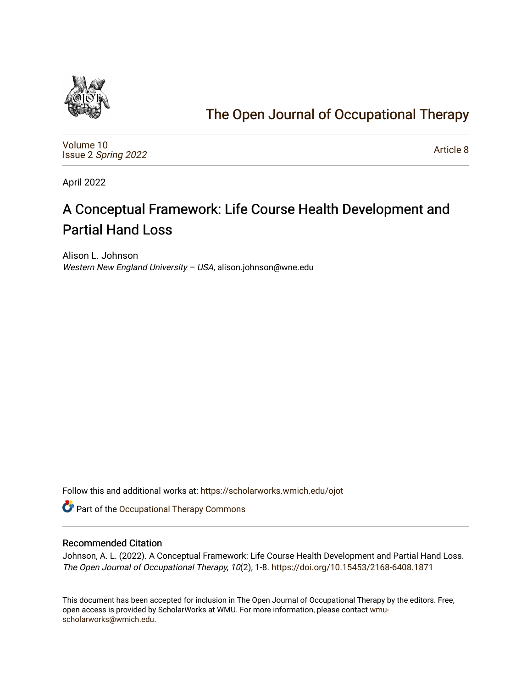

# [The Open Journal of Occupational Therapy](https://scholarworks.wmich.edu/ojot)

[Volume 10](https://scholarworks.wmich.edu/ojot/vol10) Issue 2 [Spring 2022](https://scholarworks.wmich.edu/ojot/vol10/iss2) 

[Article 8](https://scholarworks.wmich.edu/ojot/vol10/iss2/8) 

April 2022

# A Conceptual Framework: Life Course Health Development and Partial Hand Loss

Alison L. Johnson Western New England University - USA, alison.johnson@wne.edu

Follow this and additional works at: [https://scholarworks.wmich.edu/ojot](https://scholarworks.wmich.edu/ojot?utm_source=scholarworks.wmich.edu%2Fojot%2Fvol10%2Fiss2%2F8&utm_medium=PDF&utm_campaign=PDFCoverPages)

Part of the [Occupational Therapy Commons](http://network.bepress.com/hgg/discipline/752?utm_source=scholarworks.wmich.edu%2Fojot%2Fvol10%2Fiss2%2F8&utm_medium=PDF&utm_campaign=PDFCoverPages) 

## Recommended Citation

Johnson, A. L. (2022). A Conceptual Framework: Life Course Health Development and Partial Hand Loss. The Open Journal of Occupational Therapy, 10(2), 1-8. <https://doi.org/10.15453/2168-6408.1871>

This document has been accepted for inclusion in The Open Journal of Occupational Therapy by the editors. Free, open access is provided by ScholarWorks at WMU. For more information, please contact [wmu](mailto:wmu-scholarworks@wmich.edu)[scholarworks@wmich.edu.](mailto:wmu-scholarworks@wmich.edu)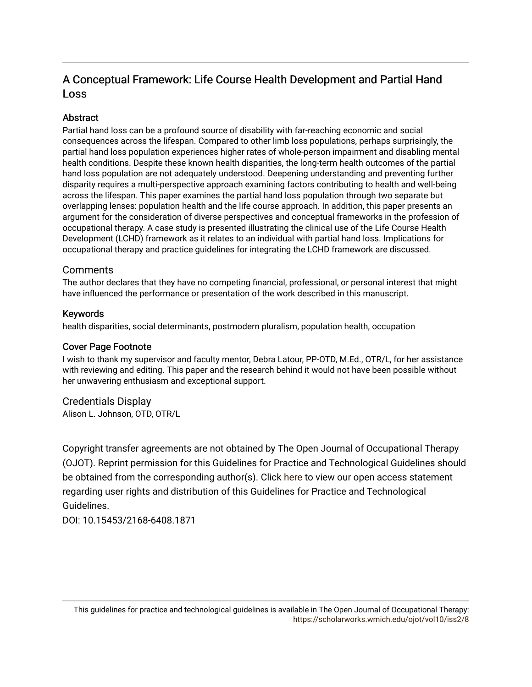# A Conceptual Framework: Life Course Health Development and Partial Hand Loss

# Abstract

Partial hand loss can be a profound source of disability with far-reaching economic and social consequences across the lifespan. Compared to other limb loss populations, perhaps surprisingly, the partial hand loss population experiences higher rates of whole-person impairment and disabling mental health conditions. Despite these known health disparities, the long-term health outcomes of the partial hand loss population are not adequately understood. Deepening understanding and preventing further disparity requires a multi-perspective approach examining factors contributing to health and well-being across the lifespan. This paper examines the partial hand loss population through two separate but overlapping lenses: population health and the life course approach. In addition, this paper presents an argument for the consideration of diverse perspectives and conceptual frameworks in the profession of occupational therapy. A case study is presented illustrating the clinical use of the Life Course Health Development (LCHD) framework as it relates to an individual with partial hand loss. Implications for occupational therapy and practice guidelines for integrating the LCHD framework are discussed.

# Comments

The author declares that they have no competing financial, professional, or personal interest that might have influenced the performance or presentation of the work described in this manuscript.

# Keywords

health disparities, social determinants, postmodern pluralism, population health, occupation

# Cover Page Footnote

I wish to thank my supervisor and faculty mentor, Debra Latour, PP-OTD, M.Ed., OTR/L, for her assistance with reviewing and editing. This paper and the research behind it would not have been possible without her unwavering enthusiasm and exceptional support.

# Credentials Display

Alison L. Johnson, OTD, OTR/L

Copyright transfer agreements are not obtained by The Open Journal of Occupational Therapy (OJOT). Reprint permission for this Guidelines for Practice and Technological Guidelines should be obtained from the corresponding author(s). Click [here](https://scholarworks.wmich.edu/ojot/policies.html#rights) to view our open access statement regarding user rights and distribution of this Guidelines for Practice and Technological Guidelines.

DOI: 10.15453/2168-6408.1871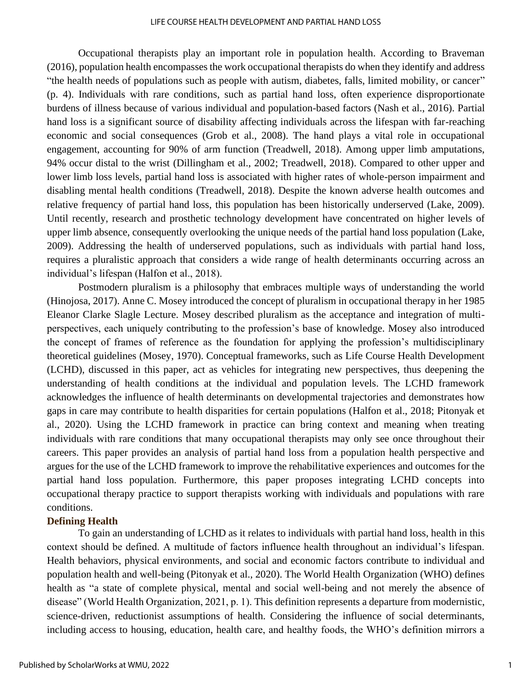#### LIFE COURSE HEALTH DEVELOPMENT AND PARTIAL HAND LOSS

Occupational therapists play an important role in population health. According to Braveman (2016), population health encompasses the work occupational therapists do when they identify and address "the health needs of populations such as people with autism, diabetes, falls, limited mobility, or cancer" (p. 4). Individuals with rare conditions, such as partial hand loss, often experience disproportionate burdens of illness because of various individual and population-based factors (Nash et al., 2016). Partial hand loss is a significant source of disability affecting individuals across the lifespan with far-reaching economic and social consequences (Grob et al., 2008). The hand plays a vital role in occupational engagement, accounting for 90% of arm function (Treadwell, 2018). Among upper limb amputations, 94% occur distal to the wrist (Dillingham et al., 2002; Treadwell, 2018). Compared to other upper and lower limb loss levels, partial hand loss is associated with higher rates of whole-person impairment and disabling mental health conditions (Treadwell, 2018). Despite the known adverse health outcomes and relative frequency of partial hand loss, this population has been historically underserved (Lake, 2009). Until recently, research and prosthetic technology development have concentrated on higher levels of upper limb absence, consequently overlooking the unique needs of the partial hand loss population (Lake, 2009). Addressing the health of underserved populations, such as individuals with partial hand loss, requires a pluralistic approach that considers a wide range of health determinants occurring across an individual's lifespan (Halfon et al., 2018).

Postmodern pluralism is a philosophy that embraces multiple ways of understanding the world (Hinojosa, 2017). Anne C. Mosey introduced the concept of pluralism in occupational therapy in her 1985 Eleanor Clarke Slagle Lecture. Mosey described pluralism as the acceptance and integration of multiperspectives, each uniquely contributing to the profession's base of knowledge. Mosey also introduced the concept of frames of reference as the foundation for applying the profession's multidisciplinary theoretical guidelines (Mosey, 1970). Conceptual frameworks, such as Life Course Health Development (LCHD), discussed in this paper, act as vehicles for integrating new perspectives, thus deepening the understanding of health conditions at the individual and population levels. The LCHD framework acknowledges the influence of health determinants on developmental trajectories and demonstrates how gaps in care may contribute to health disparities for certain populations (Halfon et al., 2018; Pitonyak et al., 2020). Using the LCHD framework in practice can bring context and meaning when treating individuals with rare conditions that many occupational therapists may only see once throughout their careers. This paper provides an analysis of partial hand loss from a population health perspective and argues for the use of the LCHD framework to improve the rehabilitative experiences and outcomes for the partial hand loss population. Furthermore, this paper proposes integrating LCHD concepts into occupational therapy practice to support therapists working with individuals and populations with rare conditions.

## **Defining Health**

To gain an understanding of LCHD as it relates to individuals with partial hand loss, health in this context should be defined. A multitude of factors influence health throughout an individual's lifespan. Health behaviors, physical environments, and social and economic factors contribute to individual and population health and well-being (Pitonyak et al., 2020). The World Health Organization (WHO) defines health as "a state of complete physical, mental and social well-being and not merely the absence of disease" (World Health Organization, 2021, p. 1). This definition represents a departure from modernistic, science-driven, reductionist assumptions of health. Considering the influence of social determinants, including access to housing, education, health care, and healthy foods, the WHO's definition mirrors a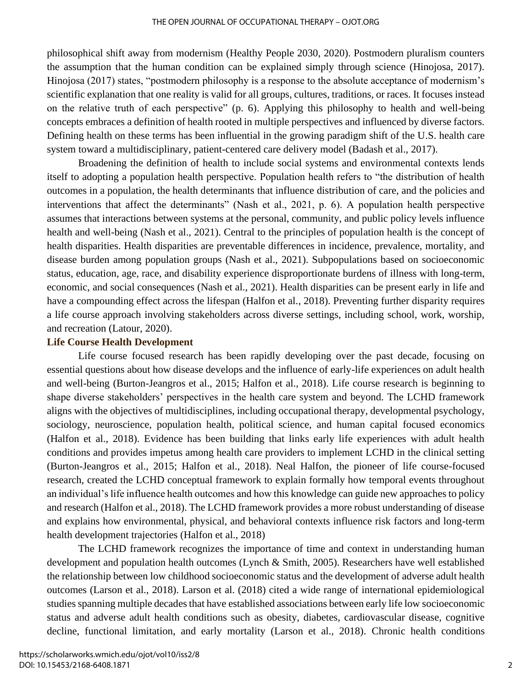philosophical shift away from modernism (Healthy People 2030, 2020). Postmodern pluralism counters the assumption that the human condition can be explained simply through science (Hinojosa, 2017). Hinojosa (2017) states, "postmodern philosophy is a response to the absolute acceptance of modernism's scientific explanation that one reality is valid for all groups, cultures, traditions, or races. It focuses instead on the relative truth of each perspective" (p. 6). Applying this philosophy to health and well-being concepts embraces a definition of health rooted in multiple perspectives and influenced by diverse factors. Defining health on these terms has been influential in the growing paradigm shift of the U.S. health care system toward a multidisciplinary, patient-centered care delivery model (Badash et al., 2017).

Broadening the definition of health to include social systems and environmental contexts lends itself to adopting a population health perspective. Population health refers to "the distribution of health outcomes in a population, the health determinants that influence distribution of care, and the policies and interventions that affect the determinants" (Nash et al., 2021, p. 6). A population health perspective assumes that interactions between systems at the personal, community, and public policy levels influence health and well-being (Nash et al., 2021). Central to the principles of population health is the concept of health disparities. Health disparities are preventable differences in incidence, prevalence, mortality, and disease burden among population groups (Nash et al., 2021). Subpopulations based on socioeconomic status, education, age, race, and disability experience disproportionate burdens of illness with long-term, economic, and social consequences (Nash et al., 2021). Health disparities can be present early in life and have a compounding effect across the lifespan (Halfon et al., 2018). Preventing further disparity requires a life course approach involving stakeholders across diverse settings, including school, work, worship, and recreation (Latour, 2020).

# **Life Course Health Development**

Life course focused research has been rapidly developing over the past decade, focusing on essential questions about how disease develops and the influence of early-life experiences on adult health and well-being (Burton-Jeangros et al., 2015; Halfon et al., 2018). Life course research is beginning to shape diverse stakeholders' perspectives in the health care system and beyond. The LCHD framework aligns with the objectives of multidisciplines, including occupational therapy, developmental psychology, sociology, neuroscience, population health, political science, and human capital focused economics (Halfon et al., 2018). Evidence has been building that links early life experiences with adult health conditions and provides impetus among health care providers to implement LCHD in the clinical setting (Burton-Jeangros et al., 2015; Halfon et al., 2018). Neal Halfon, the pioneer of life course-focused research, created the LCHD conceptual framework to explain formally how temporal events throughout an individual's life influence health outcomes and how this knowledge can guide new approaches to policy and research (Halfon et al., 2018). The LCHD framework provides a more robust understanding of disease and explains how environmental, physical, and behavioral contexts influence risk factors and long-term health development trajectories (Halfon et al., 2018)

The LCHD framework recognizes the importance of time and context in understanding human development and population health outcomes (Lynch & Smith, 2005). Researchers have well established the relationship between low childhood socioeconomic status and the development of adverse adult health outcomes (Larson et al., 2018). Larson et al. (2018) cited a wide range of international epidemiological studies spanning multiple decades that have established associations between early life low socioeconomic status and adverse adult health conditions such as obesity, diabetes, cardiovascular disease, cognitive decline, functional limitation, and early mortality (Larson et al., 2018). Chronic health conditions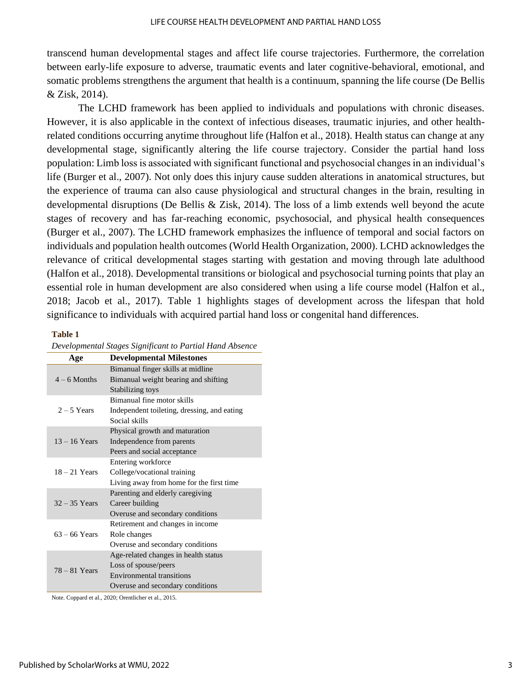transcend human developmental stages and affect life course trajectories. Furthermore, the correlation between early-life exposure to adverse, traumatic events and later cognitive-behavioral, emotional, and somatic problems strengthens the argument that health is a continuum, spanning the life course (De Bellis & Zisk, 2014).

The LCHD framework has been applied to individuals and populations with chronic diseases. However, it is also applicable in the context of infectious diseases, traumatic injuries, and other healthrelated conditions occurring anytime throughout life (Halfon et al., 2018). Health status can change at any developmental stage, significantly altering the life course trajectory. Consider the partial hand loss population: Limb loss is associated with significant functional and psychosocial changes in an individual's life (Burger et al., 2007). Not only does this injury cause sudden alterations in anatomical structures, but the experience of trauma can also cause physiological and structural changes in the brain, resulting in developmental disruptions (De Bellis & Zisk, 2014). The loss of a limb extends well beyond the acute stages of recovery and has far-reaching economic, psychosocial, and physical health consequences (Burger et al., 2007). The LCHD framework emphasizes the influence of temporal and social factors on individuals and population health outcomes (World Health Organization, 2000). LCHD acknowledges the relevance of critical developmental stages starting with gestation and moving through late adulthood (Halfon et al., 2018). Developmental transitions or biological and psychosocial turning points that play an essential role in human development are also considered when using a life course model (Halfon et al., 2018; Jacob et al., 2017). Table 1 highlights stages of development across the lifespan that hold significance to individuals with acquired partial hand loss or congenital hand differences.

#### **Table 1**

| Age             | <b>Developmental Milestones</b>             |
|-----------------|---------------------------------------------|
| $4-6$ Months    | Bimanual finger skills at midline           |
|                 | Bimanual weight bearing and shifting        |
|                 | Stabilizing toys                            |
| $2 - 5$ Years   | Bimanual fine motor skills                  |
|                 | Independent toileting, dressing, and eating |
|                 | Social skills                               |
| $13 - 16$ Years | Physical growth and maturation              |
|                 | Independence from parents                   |
|                 | Peers and social acceptance                 |
| $18 - 21$ Years | Entering workforce                          |
|                 | College/vocational training                 |
|                 | Living away from home for the first time    |
| $32 - 35$ Years | Parenting and elderly caregiving            |
|                 | Career building                             |
|                 | Overuse and secondary conditions            |
| $63 - 66$ Years | Retirement and changes in income            |
|                 | Role changes                                |
|                 | Overuse and secondary conditions            |
| $78 - 81$ Years | Age-related changes in health status        |
|                 | Loss of spouse/peers                        |
|                 | Environmental transitions                   |
|                 | Overuse and secondary conditions            |

*Developmental Stages Significant to Partial Hand Absence*

Note. Coppard et al., 2020; Orentlicher et al., 2015.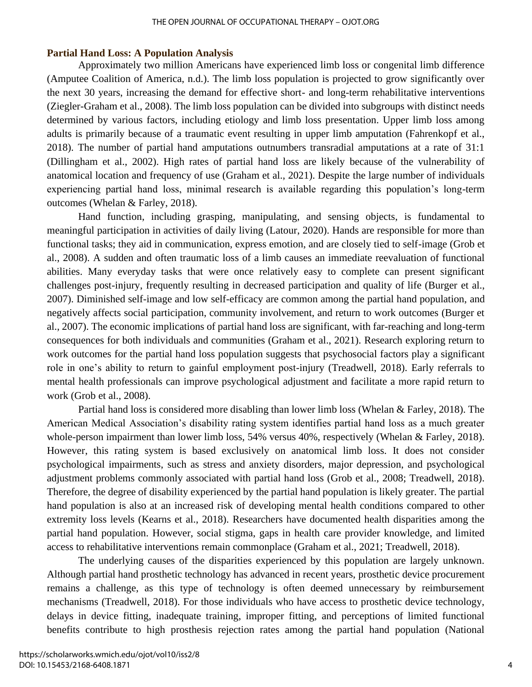#### THE OPEN JOURNAL OF OCCUPATIONAL THERAPY – OJOT.ORG

## **Partial Hand Loss: A Population Analysis**

Approximately two million Americans have experienced limb loss or congenital limb difference (Amputee Coalition of America, n.d.). The limb loss population is projected to grow significantly over the next 30 years, increasing the demand for effective short- and long-term rehabilitative interventions (Ziegler-Graham et al., 2008). The limb loss population can be divided into subgroups with distinct needs determined by various factors, including etiology and limb loss presentation. Upper limb loss among adults is primarily because of a traumatic event resulting in upper limb amputation (Fahrenkopf et al., 2018). The number of partial hand amputations outnumbers transradial amputations at a rate of 31:1 (Dillingham et al., 2002). High rates of partial hand loss are likely because of the vulnerability of anatomical location and frequency of use (Graham et al., 2021). Despite the large number of individuals experiencing partial hand loss, minimal research is available regarding this population's long-term outcomes (Whelan & Farley, 2018).

Hand function, including grasping, manipulating, and sensing objects, is fundamental to meaningful participation in activities of daily living (Latour, 2020). Hands are responsible for more than functional tasks; they aid in communication, express emotion, and are closely tied to self-image (Grob et al., 2008). A sudden and often traumatic loss of a limb causes an immediate reevaluation of functional abilities. Many everyday tasks that were once relatively easy to complete can present significant challenges post-injury, frequently resulting in decreased participation and quality of life (Burger et al., 2007). Diminished self-image and low self-efficacy are common among the partial hand population, and negatively affects social participation, community involvement, and return to work outcomes (Burger et al., 2007). The economic implications of partial hand loss are significant, with far-reaching and long-term consequences for both individuals and communities (Graham et al., 2021). Research exploring return to work outcomes for the partial hand loss population suggests that psychosocial factors play a significant role in one's ability to return to gainful employment post-injury (Treadwell, 2018). Early referrals to mental health professionals can improve psychological adjustment and facilitate a more rapid return to work (Grob et al., 2008).

Partial hand loss is considered more disabling than lower limb loss (Whelan & Farley, 2018). The American Medical Association's disability rating system identifies partial hand loss as a much greater whole-person impairment than lower limb loss, 54% versus 40%, respectively (Whelan & Farley, 2018). However, this rating system is based exclusively on anatomical limb loss. It does not consider psychological impairments, such as stress and anxiety disorders, major depression, and psychological adjustment problems commonly associated with partial hand loss (Grob et al., 2008; Treadwell, 2018). Therefore, the degree of disability experienced by the partial hand population is likely greater. The partial hand population is also at an increased risk of developing mental health conditions compared to other extremity loss levels (Kearns et al., 2018). Researchers have documented health disparities among the partial hand population. However, social stigma, gaps in health care provider knowledge, and limited access to rehabilitative interventions remain commonplace (Graham et al., 2021; Treadwell, 2018).

The underlying causes of the disparities experienced by this population are largely unknown. Although partial hand prosthetic technology has advanced in recent years, prosthetic device procurement remains a challenge, as this type of technology is often deemed unnecessary by reimbursement mechanisms (Treadwell, 2018). For those individuals who have access to prosthetic device technology, delays in device fitting, inadequate training, improper fitting, and perceptions of limited functional benefits contribute to high prosthesis rejection rates among the partial hand population (National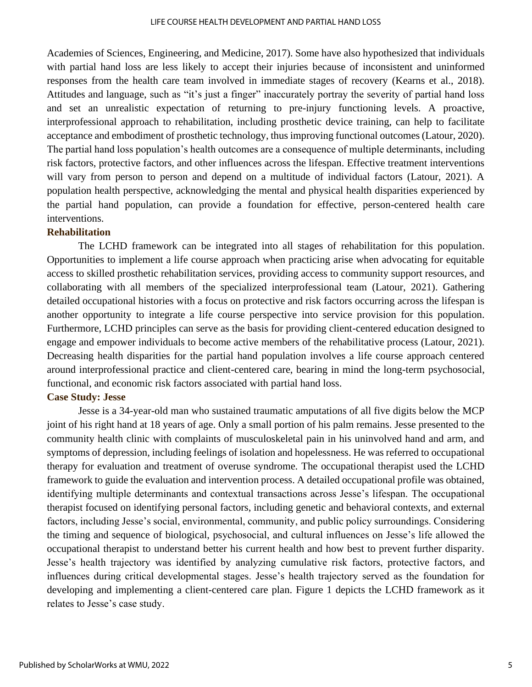Academies of Sciences, Engineering, and Medicine, 2017). Some have also hypothesized that individuals with partial hand loss are less likely to accept their injuries because of inconsistent and uninformed responses from the health care team involved in immediate stages of recovery (Kearns et al., 2018). Attitudes and language, such as "it's just a finger" inaccurately portray the severity of partial hand loss and set an unrealistic expectation of returning to pre-injury functioning levels. A proactive, interprofessional approach to rehabilitation, including prosthetic device training, can help to facilitate acceptance and embodiment of prosthetic technology, thus improving functional outcomes (Latour, 2020). The partial hand loss population's health outcomes are a consequence of multiple determinants, including risk factors, protective factors, and other influences across the lifespan. Effective treatment interventions will vary from person to person and depend on a multitude of individual factors (Latour, 2021). A population health perspective, acknowledging the mental and physical health disparities experienced by the partial hand population, can provide a foundation for effective, person-centered health care interventions.

# **Rehabilitation**

The LCHD framework can be integrated into all stages of rehabilitation for this population. Opportunities to implement a life course approach when practicing arise when advocating for equitable access to skilled prosthetic rehabilitation services, providing access to community support resources, and collaborating with all members of the specialized interprofessional team (Latour, 2021). Gathering detailed occupational histories with a focus on protective and risk factors occurring across the lifespan is another opportunity to integrate a life course perspective into service provision for this population. Furthermore, LCHD principles can serve as the basis for providing client-centered education designed to engage and empower individuals to become active members of the rehabilitative process (Latour, 2021). Decreasing health disparities for the partial hand population involves a life course approach centered around interprofessional practice and client-centered care, bearing in mind the long-term psychosocial, functional, and economic risk factors associated with partial hand loss.

# **Case Study: Jesse**

Jesse is a 34-year-old man who sustained traumatic amputations of all five digits below the MCP joint of his right hand at 18 years of age. Only a small portion of his palm remains. Jesse presented to the community health clinic with complaints of musculoskeletal pain in his uninvolved hand and arm, and symptoms of depression, including feelings of isolation and hopelessness. He was referred to occupational therapy for evaluation and treatment of overuse syndrome. The occupational therapist used the LCHD framework to guide the evaluation and intervention process. A detailed occupational profile was obtained, identifying multiple determinants and contextual transactions across Jesse's lifespan. The occupational therapist focused on identifying personal factors, including genetic and behavioral contexts, and external factors, including Jesse's social, environmental, community, and public policy surroundings. Considering the timing and sequence of biological, psychosocial, and cultural influences on Jesse's life allowed the occupational therapist to understand better his current health and how best to prevent further disparity. Jesse's health trajectory was identified by analyzing cumulative risk factors, protective factors, and influences during critical developmental stages. Jesse's health trajectory served as the foundation for developing and implementing a client-centered care plan. Figure 1 depicts the LCHD framework as it relates to Jesse's case study.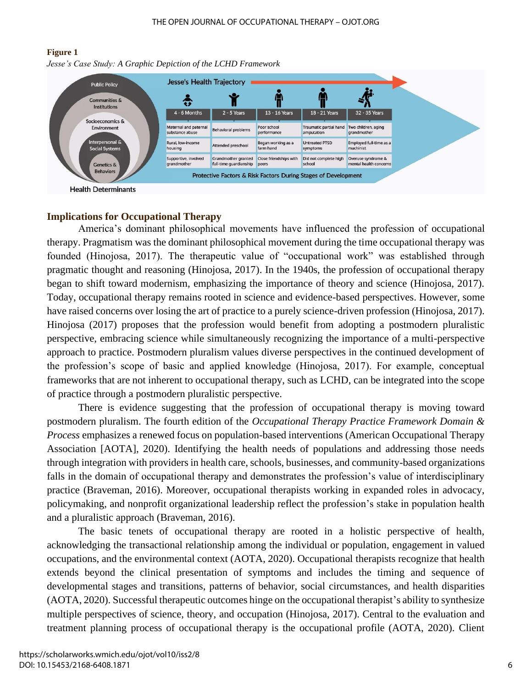#### **Figure 1**

*Jesse's Case Study: A Graphic Depiction of the LCHD Framework*



# **Implications for Occupational Therapy**

America's dominant philosophical movements have influenced the profession of occupational therapy. Pragmatism was the dominant philosophical movement during the time occupational therapy was founded (Hinojosa, 2017). The therapeutic value of "occupational work" was established through pragmatic thought and reasoning (Hinojosa, 2017). In the 1940s, the profession of occupational therapy began to shift toward modernism, emphasizing the importance of theory and science (Hinojosa, 2017). Today, occupational therapy remains rooted in science and evidence-based perspectives. However, some have raised concerns over losing the art of practice to a purely science-driven profession (Hinojosa, 2017). Hinojosa (2017) proposes that the profession would benefit from adopting a postmodern pluralistic perspective, embracing science while simultaneously recognizing the importance of a multi-perspective approach to practice. Postmodern pluralism values diverse perspectives in the continued development of the profession's scope of basic and applied knowledge (Hinojosa, 2017). For example, conceptual frameworks that are not inherent to occupational therapy, such as LCHD, can be integrated into the scope of practice through a postmodern pluralistic perspective.

There is evidence suggesting that the profession of occupational therapy is moving toward postmodern pluralism. The fourth edition of the *Occupational Therapy Practice Framework Domain & Process* emphasizes a renewed focus on population-based interventions (American Occupational Therapy Association [AOTA], 2020). Identifying the health needs of populations and addressing those needs through integration with providers in health care, schools, businesses, and community-based organizations falls in the domain of occupational therapy and demonstrates the profession's value of interdisciplinary practice (Braveman, 2016). Moreover, occupational therapists working in expanded roles in advocacy, policymaking, and nonprofit organizational leadership reflect the profession's stake in population health and a pluralistic approach (Braveman, 2016).

The basic tenets of occupational therapy are rooted in a holistic perspective of health, acknowledging the transactional relationship among the individual or population, engagement in valued occupations, and the environmental context (AOTA, 2020). Occupational therapists recognize that health extends beyond the clinical presentation of symptoms and includes the timing and sequence of developmental stages and transitions, patterns of behavior, social circumstances, and health disparities (AOTA, 2020). Successful therapeutic outcomes hinge on the occupational therapist's ability to synthesize multiple perspectives of science, theory, and occupation (Hinojosa, 2017). Central to the evaluation and treatment planning process of occupational therapy is the occupational profile (AOTA, 2020). Client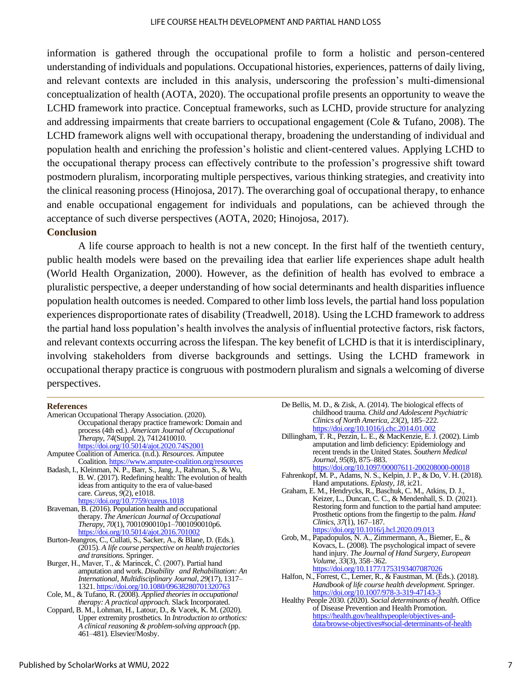information is gathered through the occupational profile to form a holistic and person-centered understanding of individuals and populations. Occupational histories, experiences, patterns of daily living, and relevant contexts are included in this analysis, underscoring the profession's multi-dimensional conceptualization of health (AOTA, 2020). The occupational profile presents an opportunity to weave the LCHD framework into practice. Conceptual frameworks, such as LCHD, provide structure for analyzing and addressing impairments that create barriers to occupational engagement (Cole & Tufano, 2008). The LCHD framework aligns well with occupational therapy, broadening the understanding of individual and population health and enriching the profession's holistic and client-centered values. Applying LCHD to the occupational therapy process can effectively contribute to the profession's progressive shift toward postmodern pluralism, incorporating multiple perspectives, various thinking strategies, and creativity into the clinical reasoning process (Hinojosa, 2017). The overarching goal of occupational therapy, to enhance and enable occupational engagement for individuals and populations, can be achieved through the acceptance of such diverse perspectives (AOTA, 2020; Hinojosa, 2017).

## **Conclusion**

A life course approach to health is not a new concept. In the first half of the twentieth century, public health models were based on the prevailing idea that earlier life experiences shape adult health (World Health Organization, 2000). However, as the definition of health has evolved to embrace a pluralistic perspective, a deeper understanding of how social determinants and health disparities influence population health outcomes is needed. Compared to other limb loss levels, the partial hand loss population experiences disproportionate rates of disability (Treadwell, 2018). Using the LCHD framework to address the partial hand loss population's health involves the analysis of influential protective factors, risk factors, and relevant contexts occurring across the lifespan. The key benefit of LCHD is that it is interdisciplinary, involving stakeholders from diverse backgrounds and settings. Using the LCHD framework in occupational therapy practice is congruous with postmodern pluralism and signals a welcoming of diverse perspectives.

#### **References**

*A clinical reasoning & problem-solving approach* (pp. 461–481). Elsevier/Mosby.

- De Bellis, M. D., & Zisk, A. (2014). The biological effects of childhood trauma. *Child and Adolescent Psychiatric Clinics of North America*, *23*(2), 185–222. <https://doi.org/10.1016/j.chc.2014.01.002>
- Dillingham, T. R., Pezzin, L. E., & MacKenzie, E. J. (2002). Limb amputation and limb deficiency: Epidemiology and recent trends in the United States. *Southern Medical Journal*, *95*(8), 875–883. <https://doi.org/10.1097/00007611-200208000-00018>
- Fahrenkopf, M. P., Adams, N. S., Kelpin, J. P., & Do, V. H. (2018). Hand amputations. *Eplasty*, *18*, ic21.
- Graham, E. M., Hendrycks, R., Baschuk, C. M., Atkins, D. J., Keizer, L., Duncan, C. C., & Mendenhall, S. D. (2021). Restoring form and function to the partial hand amputee: Prosthetic options from the fingertip to the palm. *Hand Clinics*, *37*(1), 167–187. <https://doi.org/10.1016/j.hcl.2020.09.013>
- Grob, M., Papadopulos, N. A., Zimmermann, A., Biemer, E., & Kovacs, L. (2008). The psychological impact of severe hand injury. *The Journal of Hand Surgery*, *European Volume*, *33*(3), 358–362. <https://doi.org/10.1177/1753193407087026>
- Halfon, N., Forrest, C., Lerner, R., & Faustman, M. (Eds.). (2018). *Handbook of life course health development.* Springer. <https://doi.org/10.1007/978-3-319-47143-3>
- Healthy People 2030. (2020). *Social determinants of health.* Office of Disease Prevention and Health Promotion. [https://health.gov/healthypeople/objectives-and](https://health.gov/healthypeople/objectives-and-data/browse-objectives#social-determinants-of-health)[data/browse-objectives#social-determinants-of-health](https://health.gov/healthypeople/objectives-and-data/browse-objectives#social-determinants-of-health)